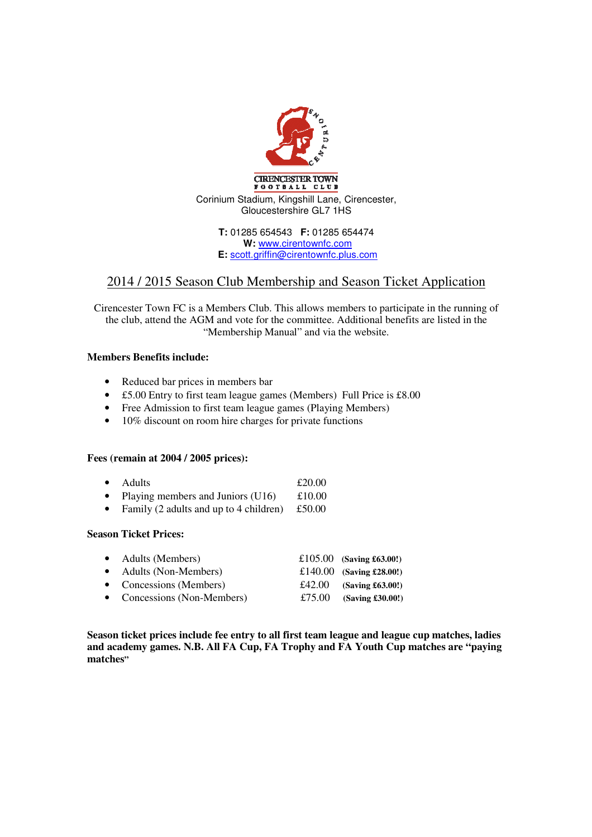

**T:** 01285 654543 **F:** 01285 654474 **W:** www.cirentownfc.com **E:** scott.griffin@cirentownfc.plus.com

## 2014 / 2015 Season Club Membership and Season Ticket Application

Cirencester Town FC is a Members Club. This allows members to participate in the running of the club, attend the AGM and vote for the committee. Additional benefits are listed in the "Membership Manual" and via the website.

## **Members Benefits include:**

- Reduced bar prices in members bar
- £5.00 Entry to first team league games (Members) Full Price is £8.00
- Free Admission to first team league games (Playing Members)
- 10% discount on room hire charges for private functions

## **Fees (remain at 2004 / 2005 prices):**

- Adults **£20.00**
- Playing members and Juniors  $(U16)$  £10.00
- Family (2 adults and up to 4 children) £50.00

## **Season Ticket Prices:**

| • Adults (Members)          | £105.00 (Saving £63.00!) |
|-----------------------------|--------------------------|
| • Adults (Non-Members)      | £140.00 (Saving £28.00!) |
| • Concessions (Members)     | £42.00 (Saving £63.00!)  |
| • Concessions (Non-Members) | £75.00 (Saving £30.00!)  |

**Season ticket prices include fee entry to all first team league and league cup matches, ladies and academy games. N.B. All FA Cup, FA Trophy and FA Youth Cup matches are "paying matches"**